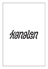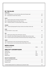| <b>BY THE GLASS</b>                                                                   |               |     |
|---------------------------------------------------------------------------------------|---------------|-----|
| <b>SPARKLING</b>                                                                      |               |     |
| Parellada/Xarel.lo, Tinc Set, Brut Nature, Mas Candi, Penedes, Spain<br>2021          |               | 90  |
| 2017<br>Riesling Sekt, Von Buhl, Pfalz, Germany                                       |               | 135 |
| <b>WHITE</b>                                                                          |               |     |
| 2021<br>Albariño, Etiqueta Verde, Granbazán, Rías Baixas, Spain                       |               | 85  |
| 2020<br>Riesling Delight, Weingut Leiner, Pfalz, Germany                              |               | 125 |
| 2019<br>Chardonnay, Vaillons 1.cru, Bernard Defaix, Chablis, France                   |               | 150 |
| <b>ORANGE</b>                                                                         |               |     |
| 2018<br>Chardonnay/Garganega/Pinot Grigio, Granselva, Sauro Maule, Veneto, Italy      |               | 115 |
| <b>ROSE</b>                                                                           |               |     |
| GLASS OF THE DAY - Ask your waiter                                                    |               | 80  |
| <b>RED</b>                                                                            |               |     |
| 2019<br>Spätburgunder, Weingut Gails, Rheinhessen, Germany                            |               | 95  |
| 2018<br>Tempranillo, Valle de Nabal, Bodegas Navarro Balbás, Ribero del Duero, Spain  |               | 115 |
| 2018<br>Pinot Noir, Hautes Cotes de Nuits, Domaine Dominique Guyon, Bourgogne, France |               | 135 |
| <b>SWEET</b>                                                                          |               |     |
| 2020 Gamay/Poulsard, Cerdon Initial, Renardat Fache, Bugey, France                    |               | 110 |
| 2019<br>Riesling Auslese, Haus Klosterberg, Markus Molitor, Mosel, Germany            |               | 130 |
| <b>BEER &amp; SODAS</b>                                                               |               |     |
| Carlsberg Nordic 0%                                                                   | <b>Bottle</b> | 40  |
| <b>EBELTOFT GÅRDBRYGGERI</b>                                                          |               |     |
| <b>Helles Pilsner</b>                                                                 | Tap           | 50  |
| <b>Wild Flower IPA</b>                                                                | Tap           | 50  |
| Weissbier                                                                             | <b>Bottle</b> | 70  |
| <b>Belgian Brown</b>                                                                  | <b>Bottle</b> | 70  |
| <b>EBELTOFT GÅRDBRYGGERI</b>                                                          |               |     |
| Sicilian Orange Sparkling Lemonade                                                    |               | 50  |
| Lime & Mint Soda                                                                      |               | 50  |
| Raspberry Soda                                                                        |               | 50  |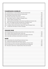| <b>CHAMPAGNE &amp; BUBBLES</b>                                                                     |      |
|----------------------------------------------------------------------------------------------------|------|
| Parellada/Xarel.lo, Tinc Set, Brut Nature, Mas Candi, Penedes, Spain<br>2021                       | 500  |
| 2020 Macabeo/Chardonnay, Samay, Pasamayo, Andalusia, Spain                                         | 630  |
| Riesling Sekt, Von Buhl, Phalz, Germany<br>2017                                                    | 790  |
| 2020 Pinot Noir, Crémant Rose, Champ Divin, Jura, France                                           | 800  |
| <b>NV</b><br>Blanc de Blanc, Grand Cru, Le Mesnil, Champagne, France                               | 800  |
| <b>NV</b><br>"Origine", Mandois, Champagne, France                                                 | 880  |
| <b>NV</b><br>Chardonnay/Pinot Noir/Pinot Bianco, Alma Grand Cuvee, Bellavista, Franciacorta, Italy | 900  |
| <b>NV</b><br>BD'3C, Trois Cépages, Brut Nature, Bourgeois-Diaz, Champagne, France                  | 1050 |
| 2013<br>"Le Terroir", Extra Brut, Adrien Renoir, Verzy, Champagne, France                          | 1250 |
| "Les Maillons" Blanc de Noir Extra Brut, Ulysse Collin, Cogny, Champagne, France<br>2013           | 1600 |
| <b>NV</b><br>"Les Blanchiens" Brut Nature, R. Pouillon, Champagne                                  | 1750 |
|                                                                                                    |      |
| <b>ORANGE WINE</b>                                                                                 |      |
| 2020 Riesling/Gewurztraminer/Muscat, Eros de David, Vins Piroueets, Alsace, France                 | 530  |
| Trebbiano, PA'RO Orange, Buccia Nera, Toscana, Italy<br>2019                                       | 550  |
| Chardonnay/Garganega/Pinot Grigio, Granselva, Sauro Maule, Veneto, Italy<br>2018                   | 550  |
| 2020 Chenin Blanc, Les Pouches, Francois Saint-Lo, Loire, France                                   | 1000 |
| <b>ROSÉ</b>                                                                                        |      |
| Grenache/Syrah, Fleur d'Ete, IGP Pays des Cévennes, France<br>2021                                 | 375  |
| 2021<br>Spätburgunder, Weingut Riffel, Rheinhessen, Germany                                        | 400  |
| 2020 Grenache, Cru Classé, Cuvée Isaure, Chateau Brégancon, Provance, France                       | 500  |
| 2020 Pinot Nero/Sciava, 18, Le Vin de Soif, Vigneti Delle Dolomiti, Alto Adige, Italy              | 600  |
| Mourvedre, "dead Ohio sky", Poppelvej, McLaren Vale, South Australia<br>2021                       | 800  |
|                                                                                                    |      |
|                                                                                                    |      |
|                                                                                                    |      |
|                                                                                                    |      |
|                                                                                                    |      |
|                                                                                                    |      |
|                                                                                                    |      |
|                                                                                                    |      |
|                                                                                                    |      |
|                                                                                                    |      |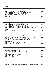|               | <b>WHITE</b>                                                                         |      |
|---------------|--------------------------------------------------------------------------------------|------|
| <b>FRANCE</b> |                                                                                      |      |
|               | 2018 Sylvaner, Mouton Bleu, Domaine MANN, Alsace, France                             | 530  |
|               | 2018 Chardonnay, Initial, Jéróme Arnoux, Arbois, Jura, France                        | 550  |
|               | 2020 Chenin Blanc, Chateau de la Roulerie, Anjou, France                             | 550  |
|               | 2018 Chardonnay, Renommeé, Remoissenet Peré & Fils, Bourgogne, France                | 650  |
|               | 2020 Chardonnay, Terroir de la Chapelle, Patrick Piuze, Chablis, France              | 700  |
|               | 2020 Sauvignon Blanc, Pierre Morin, Sancerre, Loire, France                          | 700  |
|               | 2017 Riesling, Cuvee Theo, Domaine Weinbach, Alsace, France                          | 775  |
|               | 2020 Chardonnay, Frederik Cossard, Jura, France                                      | 830  |
|               | 2015 Chardonnay/Viognier, Blanc, Andréa Calek, Ardéche, France                       | 850  |
|               | 2018 Savagnin Ouillé, Marquis d'Angerville, Domaine du Pélican, Arbois, Jura, France | 880  |
|               | 2020 Chardonnay, Le Petit Tétu, Jean-Marie Berrux, Bourgogne, France                 | 950  |
|               | 2019 Aligote, Philippe Pacalet, Bourgogne, France                                    | 1100 |
|               | 2020 Chardonnay, Domaine Fontaine-Gagnard, Bourgogne, France                         | 975  |
|               | 2019 Savagnin, Feel Good, Frédéric Cossard, Jura, France                             | 1200 |
|               | 2019 Chardonnay, Bigotes, Frédéric Cossard, Bourgogne, France                        | 1200 |
|               | 2020 Aligote, Love and Pif, Yann Durieux, Bourgogne, France                          | 1300 |
|               | 2020 Chardonnay, Grand Cru, Bougros, Patrick Piuze, Chablis, France                  | 1800 |
| 2019          | Chardonnay, Combe Bazin, Saint-Romain, Domaine de Chassornay, Bourgogne, France      | 1800 |
|               |                                                                                      |      |
|               | <b>GERMANY</b>                                                                       |      |
|               | 100cl.<br>2020 Riesling, Twei, Patrick Kampf, Rheinhessen, Germany                   | 450  |
|               | 2018 Riesling Trocken, Vom Schiefer, Weingut Ansgar Clüsserath, Mosel, Germany       | 475  |
|               | 2021 Weissburgunder, Dr. Bürklin-Wolf, Pfalz, Germany                                | 500  |
|               | 2020 Riesling Kabinett, Rosenheck, Weingut in den Zehn Morgen, Nahe, Germany         | 550  |
|               | 2020 Riesling Delight, Weingut Leiner, Pfalz, Germany                                | 630  |
|               | 2020 Riesling GG, Aulerde, Weingut Wittmann, Rheinhessen, Germany                    | 1200 |
|               | 150cl.<br>2019 Riesling Trocken, Weingut Wittmann, Rheinhessen, Germany              | 1300 |
|               | 2018 Riesling GG, Kirchspiel, Weingut Wittmann, Rheinhessen, Germany                 | 1350 |
|               | 2020 Riesling GG, Morstein, Weingut Wittmann, Rheinhessen, Germany                   | 1600 |
|               |                                                                                      |      |
|               | <b>AUSTRIA/HUNGARY</b>                                                               |      |
|               | 2020 Grüner Veltliner, Stephanus, Weixelbaum, Kamptal, Austria                       | 450  |
| 2017          | Furmint, Tokaji-Hétszóló, Tokaji, Hungary                                            | 500  |
| 2015          | Grüner Veltliner, Schenkenbichl 1.ötw, Weczeli, Kamptal, Austria                     | 850  |
|               |                                                                                      |      |
| 2019          | <b>SPAIN/ARGENTINA</b><br>Cartoixa Blanc, Medol, 9+, Tarragona, Spain                | 450  |
| 2021          | Albariño, Etiqueta Verde, Granbazán, Rías Baixas, Spain                              | 450  |
|               | 2019 Xarel.lo, Anima Mundi, Catalonia, Spain                                         | 700  |
| 2017          | Godello, As Sortes Val do Bibei, Rafael Palacios, Valdeorras, Spain                  | 1300 |
|               |                                                                                      |      |
| <b>ITALY</b>  |                                                                                      |      |
| 2019          | Pinot Grigio, Cantina Andrian, Alto Adige, Italy                                     | 400  |
|               | 2020 Chardonnay, Alois Lageder, Alto Adige, Italy                                    | 500  |
|               | 2021 Arnais, Vietti, Piedmont, Italy                                                 | 650  |
|               | 2020 Pinot Grigio, Porer, Alois Lageder, Alto Adige, Italy                           | 700  |
|               |                                                                                      |      |
|               | <b>NEW WORLD</b>                                                                     |      |
|               | 2020 Sauvignon Blanc, Clos Henri, Famille Bourgeois, Marlborough, New Zealand        | 450  |
|               |                                                                                      |      |
| 2021          | Chardonnay, Stonehorse, Kaessler Estate, Barossa Valley, Australia                   | 450  |
| 2018          | Chardonnay, MERF, David Merfeld, Columbia Valley, Washington State, USA              | 500  |

l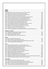| <b>RED</b>    |                                                                                                                                                 |                   |
|---------------|-------------------------------------------------------------------------------------------------------------------------------------------------|-------------------|
| <b>FRANCE</b> |                                                                                                                                                 |                   |
|               | 2020 Cinsault Nature, Samso, Domaine Cazes, Cotes Catalanes, France                                                                             | 500               |
|               | 2020 Mondeuse, Terre d'Origine, Fabien Trosset, Savoie, France                                                                                  | 550               |
|               | 2019 Gamay, Cote du Py, Damien Coquelet, Morgon, Beaujolais, France                                                                             | 575               |
|               | 2015 Cabernet Franc, Mozaïk, Pithon-Paille, Anjou, France                                                                                       | 640               |
|               | 2020 Pinot Noir, Cuvée Reserve, Domaine Roche de Bellene, Bourgogne, France                                                                     | 700               |
|               | 2019 Pinot Noir, Domaine Lafouge, Auxey -Duresses, Bourgogne, France                                                                            | 750               |
|               | 2019 Pinot Noir, Bourgogne Cote d'Or, Louis Jadot, Bourgogne, France                                                                            | 780               |
|               | 2018 Pinot Noir, Cuvée Eline, Domaine Marchand Fréres, Bourgogne, France                                                                        | 820               |
|               | 2020 Pinot Noir, Domaine Fontaine-Gagnard, Bourgogne, France                                                                                    | 850               |
|               | 2020 Pinot Noir, Bedeau, Frederik Cossard, Bourgogne, France                                                                                    | 900               |
|               | 2018 Poulsard, Marquis d'Angerville, Domaine du Pélican, Arbois, Jura, France                                                                   | 940               |
|               | 2020 Gamay, Les Michelons, Frédéric Cossard, Beaujolais, France                                                                                 | 1000              |
|               | 2020 Cabernet Franc, Les Palennes, Francois Saint-Lo, Loire, France                                                                             | 1000              |
|               | 2017 Syrah, Jean-Luc Jamet, Cote-Rotie, Rhone, France                                                                                           | 1800              |
|               | 2019 Pinot Noir, Les Ponts, Yann Durieux, Borgogne, France                                                                                      | 2000              |
|               | 2019 Pinot Noir, Aux Montagnes, Cote de Nuit Village, Charles Lachaux, Bourgogne, France                                                        | 2300              |
|               |                                                                                                                                                 |                   |
|               | <b>GERMANY / AUSTRIA</b>                                                                                                                        |                   |
|               | 2019 Spätburgunder, Weingut Geils, Rheinhessen, Germany                                                                                         | 450               |
|               | 2015 Zweigelt, Paul Achs, Burgenland, Austria                                                                                                   | 500               |
|               | 2019 Pinot Noir, Nik Weis, Mosel, Germany                                                                                                       | 580               |
|               | 2016 Spätburgunder, Reichsrat, Von Buhl, Phalz, Germany                                                                                         | 600               |
|               |                                                                                                                                                 |                   |
| <b>SPAIN</b>  |                                                                                                                                                 |                   |
|               | 2020 Mencia, Guímaro, Ribeira Sacra, Spain                                                                                                      | 520               |
|               | 2019 Mencia, Fedellos du Couto, Ribeira Sacra, Spain                                                                                            | 550               |
|               | 2018 Tempranillo, Valle de Nabal, Bodegas Navarro Balbás, Ribera del Duero, Spain                                                               | 575               |
|               | 2019 Grenacha, Bodega Marañones, Madrid, Spain                                                                                                  | 750               |
| <b>ITALY</b>  |                                                                                                                                                 |                   |
| 2019          | Barbera del Monferrato, Giuanín, La Casaccia, Piedmont, Italy                                                                                   | 500               |
| 2018          | Cabernet Sauvignon/Merlot, Buccia Nera, PA'RO Rosso, Tuscany, Italy                                                                             | 530               |
| 2018          | Nerello Mascalese, Etna Rosso, Benanti, Sicily, Italy                                                                                           | 550               |
|               | 2020 Dolcetto d'Alba, Castello di Neive, Piedmont, Italy                                                                                        | 600               |
|               | 2020 Pinot Nero, 17, Vigneti Delle Dolomiti, Alto Adige, Italy                                                                                  | 620               |
| 2018          | Corvina &co., Valpolicella DOC, Domini del Leone, Verona, Italy                                                                                 | 650               |
| 2019          | Nebbiolo, Perbacco, Vietti, Lange, Piedmont, Italy                                                                                              | 700               |
| 2015          | Nebbiolo, Barolo, Massolino, Piedmont, Italy                                                                                                    | 1000              |
| 2018          | Sangiovese, Rosso di Montalcino, Gianni Brunelli, Tuscany, Italy                                                                                | 1050              |
| 2016          | Sangiovese, Castello di Brolio, Ricasoli, Tuscany, Italy                                                                                        | 1100              |
| 2015          | Sangiovese, Colledilá, Chianti Classico Gran Selezione, Castello di Brolio, Ricasoli, Tuscany, Italy                                            | 1250              |
| 2016          | Sangiovese, Brunello di Montalcino, Gianni Brunelli, Tuscany, Italy                                                                             | 2200              |
|               | <b>NEW WORLD</b>                                                                                                                                |                   |
|               | Zinfandel, Kunde, Sonoma Valley, California, USA                                                                                                | 550               |
|               |                                                                                                                                                 |                   |
| 2015          |                                                                                                                                                 |                   |
|               | 2020 Cabernet Franc, Sort Sol, Poppelvej, McLaren Vale, South Australia                                                                         |                   |
| 2019          | 2020 Grenache, The Green Room, Ochota Barrels, McLaren Vale, South Australia<br>Shiraz, Love Potion, The Other Right, Adelaide Hills, Australia | 850<br>880<br>950 |